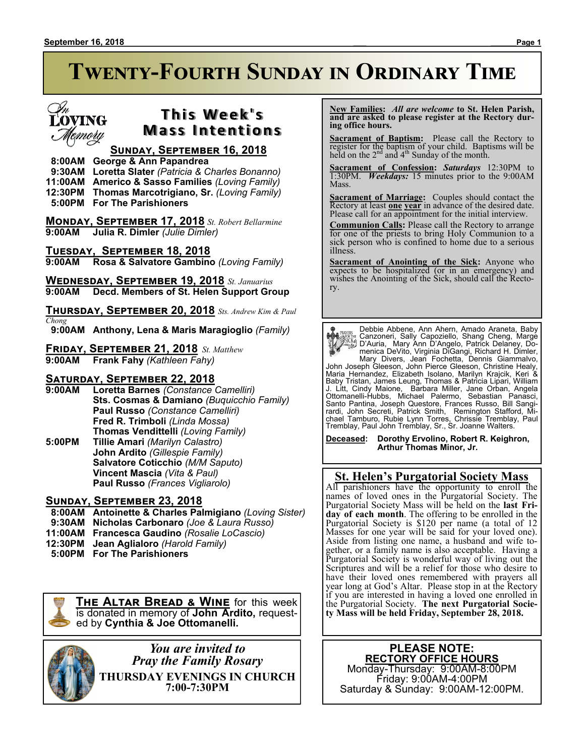TOVING emoru

# **Twenty-Fourth Sunday in Ordinary Time**

## **T h i s We e k ' s Mass Intentions**

#### **Sunday, September 16, 2018**

 **8:00AM George & Ann Papandrea**

 **9:30AM Loretta Slater** *(Patricia & Charles Bonanno)*

**11:00AM Americo & Sasso Families** *(Loving Family)*

**12:30PM Thomas Marcotrigiano, Sr.** *(Loving Family)*  **5:00PM For The Parishioners**

**Monday, September 17, 2018** *St. Robert Bellarmine*

**9:00AM Julia R. Dimler** *(Julie Dimler)* **Tuesday, September 18, 2018**

**9:00AM Rosa & Salvatore Gambino** *(Loving Family)*

**Wednesday, September 19, 2018** *St. Januarius* **Decd. Members of St. Helen Support Group** 

**Thursday, September 20, 2018** *Sts. Andrew Kim & Paul Chong*

 **9:00AM Anthony, Lena & Maris Maragioglio** *(Family)*

**Friday, September 21, 2018** *St. Matthew* **9:00AM Frank Fahy** *(Kathleen Fahy)*

#### **Saturday, September 22, 2018**

- **9:00AM Loretta Barnes** *(Constance Camelliri)* **Sts. Cosmas & Damiano** *(Buquicchio Family)* **Paul Russo** *(Constance Camelliri)* **Fred R. Trimboli** *(Linda Mossa)* **Thomas Vendittelli** *(Loving Family)*
- **5:00PM Tillie Amari** *(Marilyn Calastro)* **John Ardito** *(Gillespie Family)* **Salvatore Coticchio** *(M/M Saputo)* **Vincent Mascia** *(Vita & Paul)* **Paul Russo** *(Frances Vigliarolo)*

#### **Sunday, September 23, 2018**

- **8:00AM Antoinette & Charles Palmigiano** *(Loving Sister)*  **9:30AM Nicholas Carbonaro** *(Joe & Laura Russo)* **11:00AM Francesca Gaudino** *(Rosalie LoCascio)*
- **12:30PM Jean Aglialoro** *(Harold Family)*
- **5:00PM For The Parishioners**

**The Altar Bread & Wine** for this week is donated in memory of **John Ardito,** requested by **Cynthia & Joe Ottomanelli.**



*You are invited to Pray the Family Rosary* **THURSDAY EVENINGS IN CHURCH 7:00-7:30PM**

 **New Families:** *All are welcome* **to St. Helen Parish, and are asked to please register at the Rectory during office hours.**

**Sacrament of Baptism:** Please call the Rectory to register for the baptism of your child. Baptisms will be held on the  $2<sup>nd</sup>$  and  $4<sup>th</sup>$  Sunday of the month.

**Sacrament of Confession:** *Saturdays* 12:30PM to 1:30PM. *Weekdays:* 15 minutes prior to the 9:00AM Mass.

**Sacrament of Marriage:**Couples should contact the Rectory at least **one year** in advance of the desired date. Please call for an appointment for the initial interview.

**Communion Calls:** Please call the Rectory to arrange for one of the priests to bring Holy Communion to a sick person who is confined to home due to a serious illness.

**Sacrament of Anointing of the Sick:** Anyone who expects to be hospitalized (or in an emergency) and wishes the Anointing of the Sick, should call the Rectory.

**Payris:** Debbie Abbene, Ann Ahern, Amado Araneta, Baby<br>
Canzoneri, Sally Capzziello, Shang Cheng, Marge<br>
Canzoneri, Sally Capzziello, Shang Cheng, Marge<br>
Chrick Delaney, Do-<br>
menica DeVito, Virginia DiGangi, Richard H. Di

**Deceased: Dorothy Ervolino, Robert R. Keighron, Arthur Thomas Minor, Jr.**

#### **St. Helen's Purgatorial Society Mass**

All parishioners have the opportunity to enroll the names of loved ones in the Purgatorial Society. The Purgatorial Society Mass will be held on the **last Friday of each month**. The offering to be enrolled in the Purgatorial Society is \$120 per name (a total of 12 Masses for one year will be said for your loved one). Aside from listing one name, a husband and wife together, or a family name is also acceptable. Having a Purgatorial Society is wonderful way of living out the Scriptures and will be a relief for those who desire to have their loved ones remembered with prayers all year long at God's Altar. Please stop in at the Rectory if you are interested in having a loved one enrolled in the Purgatorial Society. **The next Purgatorial Society Mass will be held Friday, September 28, 2018.**

#### **PLEASE NOTE: RECTORY OFFICE HOURS**

Monday-Thursday: 9:00AM-8:00PM Friday: 9:00AM-4:00PM Saturday & Sunday: 9:00AM-12:00PM.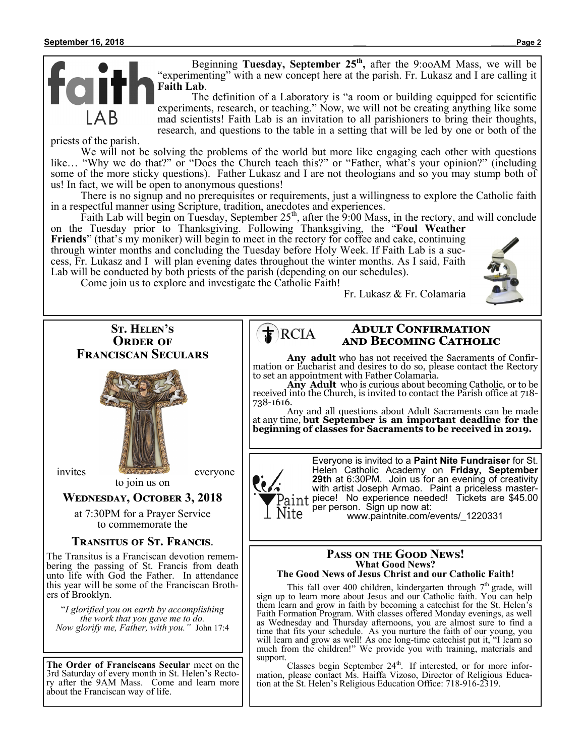

Beginning **Tuesday, September 25th ,** after the 9:ooAM Mass, we will be "experimenting" with a new concept here at the parish. Fr. Lukasz and I are calling it **Faith Lab**.

The definition of a Laboratory is "a room or building equipped for scientific experiments, research, or teaching." Now, we will not be creating anything like some mad scientists! Faith Lab is an invitation to all parishioners to bring their thoughts, research, and questions to the table in a setting that will be led by one or both of the

priests of the parish.

We will not be solving the problems of the world but more like engaging each other with questions like… "Why we do that?" or "Does the Church teach this?" or "Father, what's your opinion?" (including some of the more sticky questions). Father Lukasz and I are not theologians and so you may stump both of us! In fact, we will be open to anonymous questions!

There is no signup and no prerequisites or requirements, just a willingness to explore the Catholic faith in a respectful manner using Scripture, tradition, anecdotes and experiences.

Faith Lab will begin on Tuesday, September  $25<sup>th</sup>$ , after the 9:00 Mass, in the rectory, and will conclude on the Tuesday prior to Thanksgiving. Following Thanksgiving, the "**Foul Weather** 

**Friends**" (that's my moniker) will begin to meet in the rectory for coffee and cake, continuing through winter months and concluding the Tuesday before Holy Week. If Faith Lab is a success, Fr. Lukasz and I will plan evening dates throughout the winter months. As I said, Faith Lab will be conducted by both priests of the parish (depending on our schedules).

Come join us to explore and investigate the Catholic Faith!



Fr. Lukasz & Fr. Colamaria

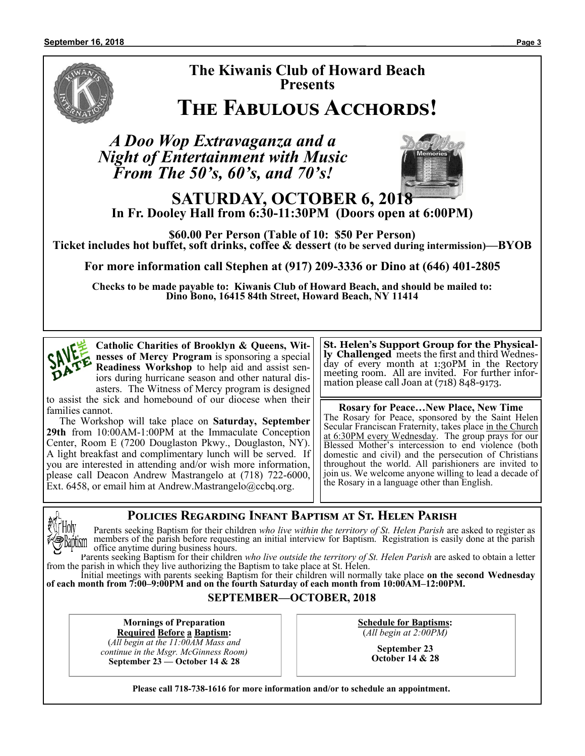## **The Kiwanis Club of Howard Beach Presents**

## **The Fabulous Acchords!**

*A Doo Wop Extravaganza and a Night of Entertainment with Music From The 50's, 60's, and 70's!*



**SATURDAY, OCTOBER 6, 2018 In Fr. Dooley Hall from 6:30-11:30PM (Doors open at 6:00PM)**

**\$60.00 Per Person (Table of 10: \$50 Per Person) Ticket includes hot buffet, soft drinks, coffee & dessert (to be served during intermission)—BYOB**

**For more information call Stephen at (917) 209-3336 or Dino at (646) 401-2805**

**Checks to be made payable to: Kiwanis Club of Howard Beach, and should be mailed to: Dino Bono, 16415 84th Street, Howard Beach, NY 11414**



**Catholic Charities of Brooklyn & Queens, Witnesses of Mercy Program** is sponsoring a special **Readiness Workshop** to help aid and assist seniors during hurricane season and other natural disasters. The Witness of Mercy program is designed

to assist the sick and homebound of our diocese when their families cannot.

 The Workshop will take place on **Saturday, September 29th** from 10:00AM-1:00PM at the Immaculate Conception Center, Room E (7200 Douglaston Pkwy., Douglaston, NY). A light breakfast and complimentary lunch will be served. If you are interested in attending and/or wish more information, please call Deacon Andrew Mastrangelo at (718) 722-6000, Ext. 6458, or email him at Andrew.Mastrangelo@ccbq.org.

**St. Helen's Support Group for the Physically Challenged** meets the first and third Wednesday of every month at 1:30PM in the Rectory meeting room. All are invited. For further information please call Joan at (718) 848-9173.

**Rosary for Peace…New Place, New Time** The Rosary for Peace, sponsored by the Saint Helen Secular Franciscan Fraternity, takes place in the Church at 6:30PM every Wednesday. The group prays for our Blessed Mother's intercession to end violence (both domestic and civil) and the persecution of Christians throughout the world. All parishioners are invited to join us. We welcome anyone willing to lead a decade of the Rosary in a language other than English.

#### **Policies Regarding Infant Baptism at St. Helen Parish**

Parents seeking Baptism for their children *who live within the territory of St. Helen Parish* are asked to register as members of the parish before requesting an initial interview for Baptism. Registration is easily done at the parish office anytime during business hours.

Parents seeking Baptism for their children *who live outside the territory of St. Helen Parish* are asked to obtain a letter from the parish in which they live authorizing the Baptism to take place at St. Helen.

Initial meetings with parents seeking Baptism for their children will normally take place **on the second Wednesday of each month from 7:00–9:00PM and on the fourth Saturday of each month from 10:00AM–12:00PM.**

#### **SEPTEMBER—OCTOBER, 2018**

**Mornings of Preparation Required Before a Baptism:** (*All begin at the 11:00AM Mass and*

*continue in the Msgr. McGinness Room)* **September 23 — October 14 & 28**

**Schedule for Baptisms:** (*All begin at 2:00PM)*

> **September 23 October 14 & 28**

**Please call 718-738-1616 for more information and/or to schedule an appointment.**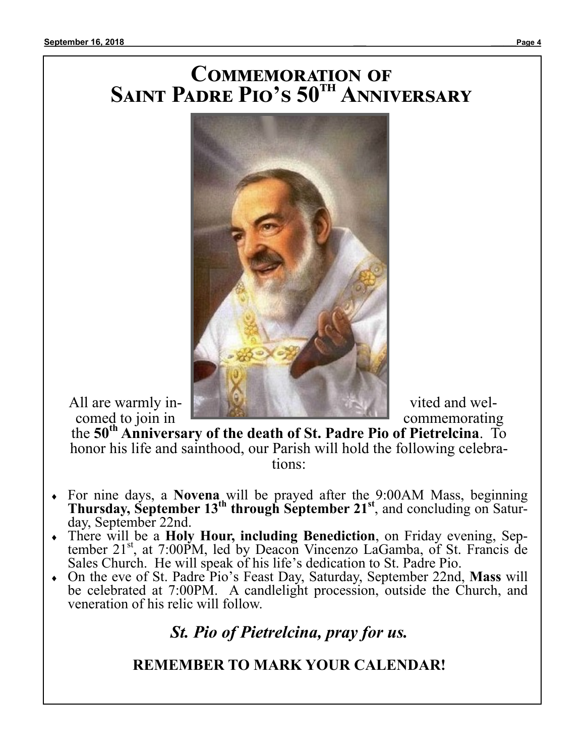## **Commemoration of Saint Padre Pio's 50th Anniversary**



the **50th Anniversary of the death of St. Padre Pio of Pietrelcina**. To honor his life and sainthood, our Parish will hold the following celebrations:

- For nine days, a **Novena** will be prayed after the 9:00AM Mass, beginning **Thursday, September 13th through September 21st**, and concluding on Saturday, September 22nd.
- There will be a **Holy Hour, including Benediction**, on Friday evening, September 21<sup>st</sup>, at 7:00PM, led by Deacon Vincenzo LaGamba, of St. Francis de Sales Church. He will speak of his life's dedication to St. Padre Pio.
- On the eve of St. Padre Pio's Feast Day, Saturday, September 22nd, **Mass** will be celebrated at 7:00PM. A candlelight procession, outside the Church, and veneration of his relic will follow.

*St. Pio of Pietrelcina, pray for us.*

## **REMEMBER TO MARK YOUR CALENDAR!**